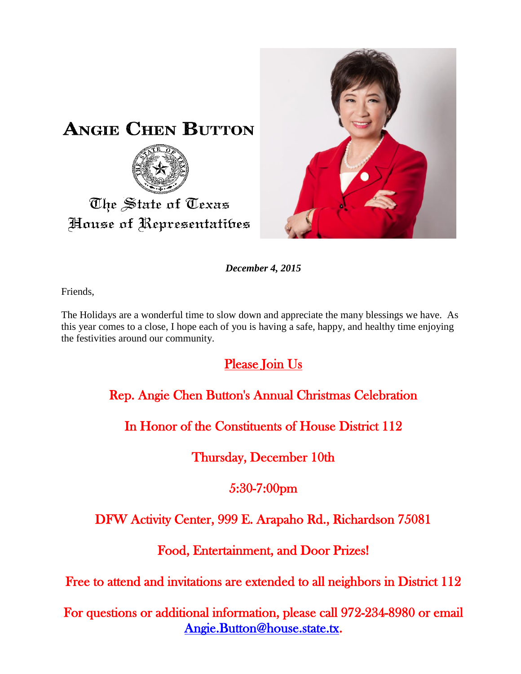

*December 4, 2015*

Friends,

The Holidays are a wonderful time to slow down and appreciate the many blessings we have. As this year comes to a close, I hope each of you is having a safe, happy, and healthy time enjoying the festivities around our community.

# Please Join Us

Rep. Angie Chen Button's Annual Christmas Celebration

In Honor of the Constituents of House District 112

Thursday, December 10th

5:30-7:00pm

## DFW Activity Center, 999 E. Arapaho Rd., Richardson 75081

Food, Entertainment, and Door Prizes!

Free to attend and invitations are extended to all neighbors in District 112

For questions or additional information, please call 972-234-8980 or email [Angie.Button@house.state.tx.](mailto:Angie.Button@house.state.tx)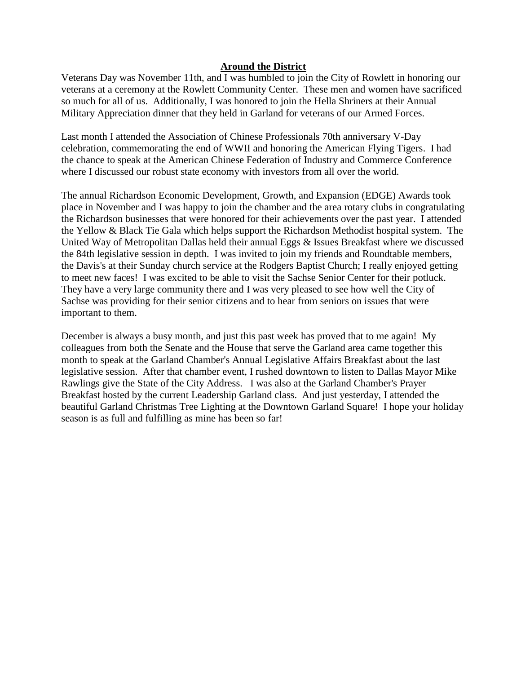### **Around the District**

Veterans Day was November 11th, and I was humbled to join the City of Rowlett in honoring our veterans at a ceremony at the Rowlett Community Center. These men and women have sacrificed so much for all of us. Additionally, I was honored to join the Hella Shriners at their Annual Military Appreciation dinner that they held in Garland for veterans of our Armed Forces.

Last month I attended the Association of Chinese Professionals 70th anniversary V-Day celebration, commemorating the end of WWII and honoring the American Flying Tigers. I had the chance to speak at the American Chinese Federation of Industry and Commerce Conference where I discussed our robust state economy with investors from all over the world.

The annual Richardson Economic Development, Growth, and Expansion (EDGE) Awards took place in November and I was happy to join the chamber and the area rotary clubs in congratulating the Richardson businesses that were honored for their achievements over the past year. I attended the Yellow & Black Tie Gala which helps support the Richardson Methodist hospital system. The United Way of Metropolitan Dallas held their annual Eggs & Issues Breakfast where we discussed the 84th legislative session in depth. I was invited to join my friends and Roundtable members, the Davis's at their Sunday church service at the Rodgers Baptist Church; I really enjoyed getting to meet new faces! I was excited to be able to visit the Sachse Senior Center for their potluck. They have a very large community there and I was very pleased to see how well the City of Sachse was providing for their senior citizens and to hear from seniors on issues that were important to them.

December is always a busy month, and just this past week has proved that to me again! My colleagues from both the Senate and the House that serve the Garland area came together this month to speak at the Garland Chamber's Annual Legislative Affairs Breakfast about the last legislative session. After that chamber event, I rushed downtown to listen to Dallas Mayor Mike Rawlings give the State of the City Address. I was also at the Garland Chamber's Prayer Breakfast hosted by the current Leadership Garland class. And just yesterday, I attended the beautiful Garland Christmas Tree Lighting at the Downtown Garland Square! I hope your holiday season is as full and fulfilling as mine has been so far!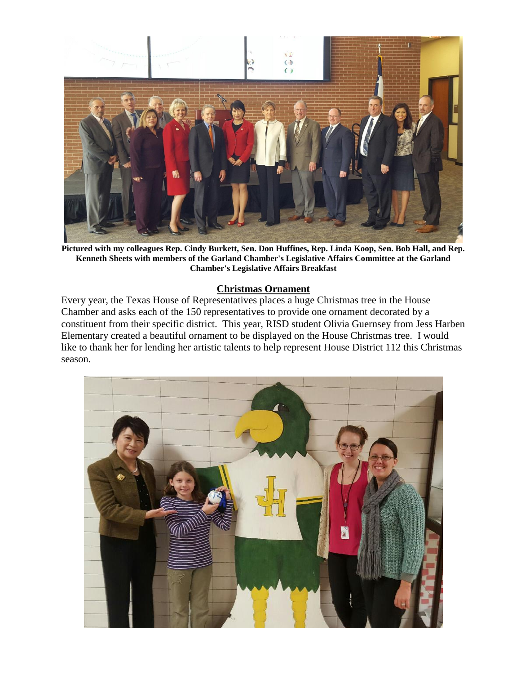

**Pictured with my colleagues Rep. Cindy Burkett, Sen. Don Huffines, Rep. Linda Koop, Sen. Bob Hall, and Rep. Kenneth Sheets with members of the Garland Chamber's Legislative Affairs Committee at the Garland Chamber's Legislative Affairs Breakfast**

#### **Christmas Ornament**

Every year, the Texas House of Representatives places a huge Christmas tree in the House Chamber and asks each of the 150 representatives to provide one ornament decorated by a constituent from their specific district. This year, RISD student Olivia Guernsey from Jess Harben Elementary created a beautiful ornament to be displayed on the House Christmas tree. I would like to thank her for lending her artistic talents to help represent House District 112 this Christmas season.